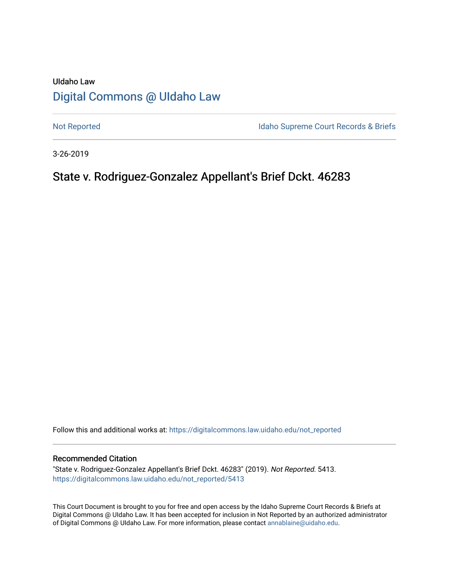# UIdaho Law [Digital Commons @ UIdaho Law](https://digitalcommons.law.uidaho.edu/)

[Not Reported](https://digitalcommons.law.uidaho.edu/not_reported) **Idaho Supreme Court Records & Briefs** 

3-26-2019

# State v. Rodriguez-Gonzalez Appellant's Brief Dckt. 46283

Follow this and additional works at: [https://digitalcommons.law.uidaho.edu/not\\_reported](https://digitalcommons.law.uidaho.edu/not_reported?utm_source=digitalcommons.law.uidaho.edu%2Fnot_reported%2F5413&utm_medium=PDF&utm_campaign=PDFCoverPages) 

## Recommended Citation

"State v. Rodriguez-Gonzalez Appellant's Brief Dckt. 46283" (2019). Not Reported. 5413. [https://digitalcommons.law.uidaho.edu/not\\_reported/5413](https://digitalcommons.law.uidaho.edu/not_reported/5413?utm_source=digitalcommons.law.uidaho.edu%2Fnot_reported%2F5413&utm_medium=PDF&utm_campaign=PDFCoverPages)

This Court Document is brought to you for free and open access by the Idaho Supreme Court Records & Briefs at Digital Commons @ UIdaho Law. It has been accepted for inclusion in Not Reported by an authorized administrator of Digital Commons @ UIdaho Law. For more information, please contact [annablaine@uidaho.edu](mailto:annablaine@uidaho.edu).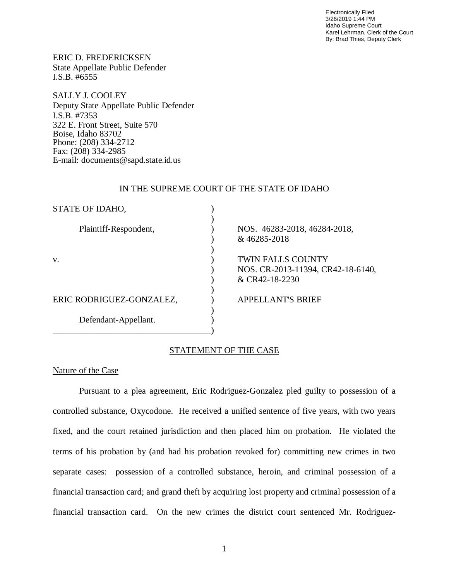Electronically Filed 3/26/2019 1:44 PM Idaho Supreme Court Karel Lehrman, Clerk of the Court By: Brad Thies, Deputy Clerk

ERIC D. FREDERICKSEN State Appellate Public Defender I.S.B. #6555

SALLY J. COOLEY Deputy State Appellate Public Defender I.S.B. #7353 322 E. Front Street, Suite 570 Boise, Idaho 83702 Phone: (208) 334-2712 Fax: (208) 334-2985 E-mail: documents@sapd.state.id.us

## IN THE SUPREME COURT OF THE STATE OF IDAHO

| STATE OF IDAHO,          |                                                                          |
|--------------------------|--------------------------------------------------------------------------|
| Plaintiff-Respondent,    | NOS. 46283-2018, 46284-2018,<br>& 46285-2018                             |
| V.                       | TWIN FALLS COUNTY<br>NOS. CR-2013-11394, CR42-18-6140,<br>& CR42-18-2230 |
| ERIC RODRIGUEZ-GONZALEZ, | <b>APPELLANT'S BRIEF</b>                                                 |
| Defendant-Appellant.     |                                                                          |

# STATEMENT OF THE CASE

Nature of the Case

Pursuant to a plea agreement, Eric Rodriguez-Gonzalez pled guilty to possession of a controlled substance, Oxycodone. He received a unified sentence of five years, with two years fixed, and the court retained jurisdiction and then placed him on probation. He violated the terms of his probation by (and had his probation revoked for) committing new crimes in two separate cases: possession of a controlled substance, heroin, and criminal possession of a financial transaction card; and grand theft by acquiring lost property and criminal possession of a financial transaction card. On the new crimes the district court sentenced Mr. Rodriguez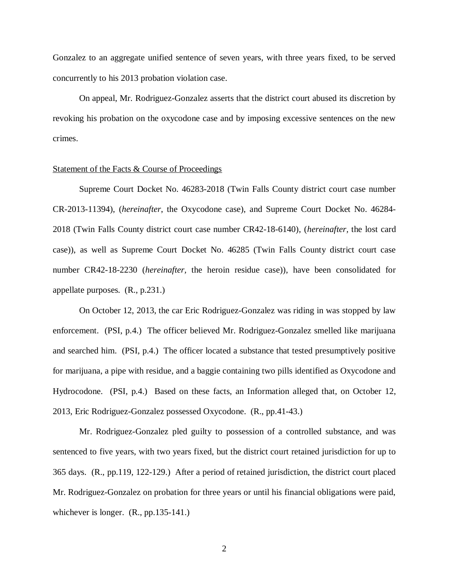Gonzalez to an aggregate unified sentence of seven years, with three years fixed, to be served concurrently to his 2013 probation violation case.

On appeal, Mr. Rodriguez-Gonzalez asserts that the district court abused its discretion by revoking his probation on the oxycodone case and by imposing excessive sentences on the new crimes.

## Statement of the Facts & Course of Proceedings

Supreme Court Docket No. 46283-2018 (Twin Falls County district court case number CR-2013-11394), (*hereinafter*, the Oxycodone case), and Supreme Court Docket No. 46284- 2018 (Twin Falls County district court case number CR42-18-6140), (*hereinafter,* the lost card case)), as well as Supreme Court Docket No. 46285 (Twin Falls County district court case number CR42-18-2230 (*hereinafter,* the heroin residue case)), have been consolidated for appellate purposes. (R., p.231.)

On October 12, 2013, the car Eric Rodriguez-Gonzalez was riding in was stopped by law enforcement. (PSI, p.4.) The officer believed Mr. Rodriguez-Gonzalez smelled like marijuana and searched him. (PSI, p.4.) The officer located a substance that tested presumptively positive for marijuana, a pipe with residue, and a baggie containing two pills identified as Oxycodone and Hydrocodone. (PSI, p.4.) Based on these facts, an Information alleged that, on October 12, 2013, Eric Rodriguez-Gonzalez possessed Oxycodone. (R., pp.41-43.)

Mr. Rodriguez-Gonzalez pled guilty to possession of a controlled substance, and was sentenced to five years, with two years fixed, but the district court retained jurisdiction for up to 365 days. (R., pp.119, 122-129.) After a period of retained jurisdiction, the district court placed Mr. Rodriguez-Gonzalez on probation for three years or until his financial obligations were paid, whichever is longer.  $(R., pp.135-141.)$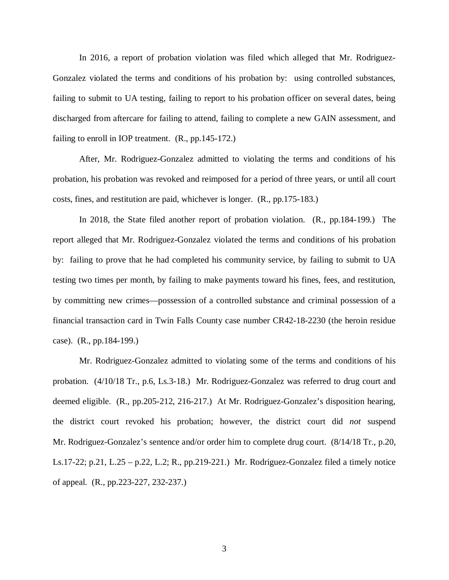In 2016, a report of probation violation was filed which alleged that Mr. Rodriguez-Gonzalez violated the terms and conditions of his probation by: using controlled substances, failing to submit to UA testing, failing to report to his probation officer on several dates, being discharged from aftercare for failing to attend, failing to complete a new GAIN assessment, and failing to enroll in IOP treatment. (R., pp.145-172.)

After, Mr. Rodriguez-Gonzalez admitted to violating the terms and conditions of his probation, his probation was revoked and reimposed for a period of three years, or until all court costs, fines, and restitution are paid, whichever is longer. (R., pp.175-183.)

In 2018, the State filed another report of probation violation. (R., pp.184-199.) The report alleged that Mr. Rodriguez-Gonzalez violated the terms and conditions of his probation by: failing to prove that he had completed his community service, by failing to submit to UA testing two times per month, by failing to make payments toward his fines, fees, and restitution, by committing new crimes—possession of a controlled substance and criminal possession of a financial transaction card in Twin Falls County case number CR42-18-2230 (the heroin residue case). (R., pp.184-199.)

Mr. Rodriguez-Gonzalez admitted to violating some of the terms and conditions of his probation. (4/10/18 Tr., p.6, Ls.3-18.) Mr. Rodriguez-Gonzalez was referred to drug court and deemed eligible. (R., pp.205-212, 216-217.) At Mr. Rodriguez-Gonzalez's disposition hearing, the district court revoked his probation; however, the district court did *not* suspend Mr. Rodriguez-Gonzalez's sentence and/or order him to complete drug court.  $(8/14/18 \text{ Tr.}, p.20,$ Ls.17-22; p.21, L.25 – p.22, L.2; R., pp.219-221.) Mr. Rodriguez-Gonzalez filed a timely notice of appeal. (R., pp.223-227, 232-237.)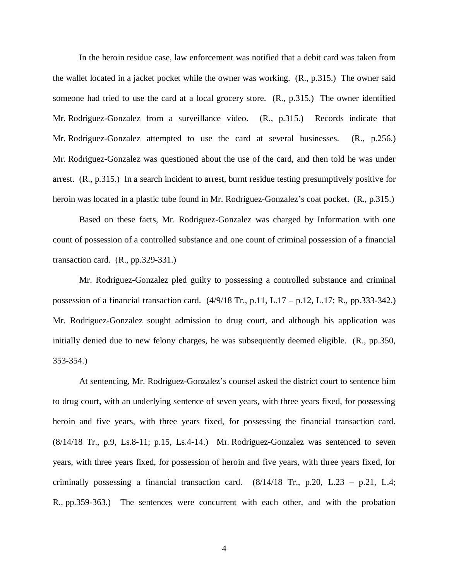In the heroin residue case, law enforcement was notified that a debit card was taken from the wallet located in a jacket pocket while the owner was working. (R., p.315.) The owner said someone had tried to use the card at a local grocery store. (R., p.315.) The owner identified Mr. Rodriguez-Gonzalez from a surveillance video. (R., p.315.) Records indicate that Mr. Rodriguez-Gonzalez attempted to use the card at several businesses. (R., p.256.) Mr. Rodriguez-Gonzalez was questioned about the use of the card, and then told he was under arrest. (R., p.315.) In a search incident to arrest, burnt residue testing presumptively positive for heroin was located in a plastic tube found in Mr. Rodriguez-Gonzalez's coat pocket. (R., p.315.)

Based on these facts, Mr. Rodriguez-Gonzalez was charged by Information with one count of possession of a controlled substance and one count of criminal possession of a financial transaction card.  $(R., pp.329-331.)$ 

Mr. Rodriguez-Gonzalez pled guilty to possessing a controlled substance and criminal possession of a financial transaction card. (4/9/18 Tr., p.11, L.17 – p.12, L.17; R., pp.333-342.) Mr. Rodriguez-Gonzalez sought admission to drug court, and although his application was initially denied due to new felony charges, he was subsequently deemed eligible. (R., pp.350, 353-354.)

At sentencing, Mr. Rodriguez-Gonzalez's counsel asked the district court to sentence him to drug court, with an underlying sentence of seven years, with three years fixed, for possessing heroin and five years, with three years fixed, for possessing the financial transaction card. (8/14/18 Tr., p.9, Ls.8-11; p.15, Ls.4-14.) Mr. Rodriguez-Gonzalez was sentenced to seven years, with three years fixed, for possession of heroin and five years, with three years fixed, for criminally possessing a financial transaction card.  $(8/14/18)$  Tr., p.20, L.23 – p.21, L.4; R., pp.359-363.) The sentences were concurrent with each other, and with the probation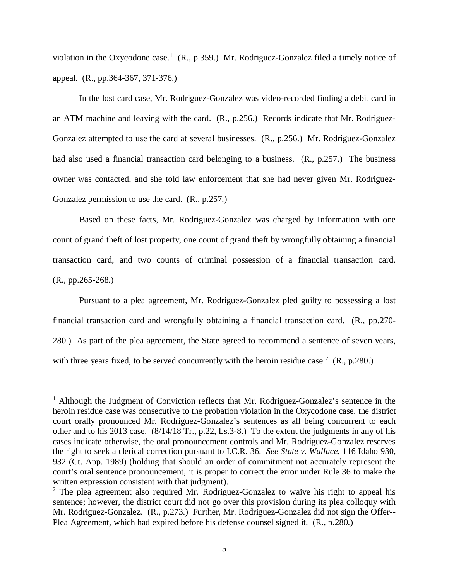violation in the Oxycodone case.<sup>[1](#page-5-0)</sup> (R., p.359.) Mr. Rodriguez-Gonzalez filed a timely notice of appeal. (R., pp.364-367, 371-376.)

In the lost card case, Mr. Rodriguez-Gonzalez was video-recorded finding a debit card in an ATM machine and leaving with the card. (R., p.256.) Records indicate that Mr. Rodriguez-Gonzalez attempted to use the card at several businesses. (R., p.256.) Mr. Rodriguez-Gonzalez had also used a financial transaction card belonging to a business. (R., p.257.) The business owner was contacted, and she told law enforcement that she had never given Mr. Rodriguez-Gonzalez permission to use the card. (R., p.257.)

Based on these facts, Mr. Rodriguez-Gonzalez was charged by Information with one count of grand theft of lost property, one count of grand theft by wrongfully obtaining a financial transaction card, and two counts of criminal possession of a financial transaction card. (R., pp.265-268.)

Pursuant to a plea agreement, Mr. Rodriguez-Gonzalez pled guilty to possessing a lost financial transaction card and wrongfully obtaining a financial transaction card. (R., pp.270- 280.) As part of the plea agreement, the State agreed to recommend a sentence of seven years, with three years fixed, to be served concurrently with the heroin residue case.<sup>[2](#page-5-1)</sup> (R., p.280.)

<span id="page-5-0"></span><sup>&</sup>lt;sup>1</sup> Although the Judgment of Conviction reflects that Mr. Rodriguez-Gonzalez's sentence in the heroin residue case was consecutive to the probation violation in the Oxycodone case, the district court orally pronounced Mr. Rodriguez-Gonzalez's sentences as all being concurrent to each other and to his 2013 case. (8/14/18 Tr., p.22, Ls.3-8.) To the extent the judgments in any of his cases indicate otherwise, the oral pronouncement controls and Mr. Rodriguez-Gonzalez reserves the right to seek a clerical correction pursuant to I.C.R. 36. *See State v. Wallace*, 116 Idaho 930, 932 (Ct. App. 1989) (holding that should an order of commitment not accurately represent the court's oral sentence pronouncement, it is proper to correct the error under Rule 36 to make the written expression consistent with that judgment).

<span id="page-5-1"></span><sup>&</sup>lt;sup>2</sup> The plea agreement also required Mr. Rodriguez-Gonzalez to waive his right to appeal his sentence; however, the district court did not go over this provision during its plea colloquy with Mr. Rodriguez-Gonzalez. (R., p.273.) Further, Mr. Rodriguez-Gonzalez did not sign the Offer-- Plea Agreement, which had expired before his defense counsel signed it. (R., p.280.)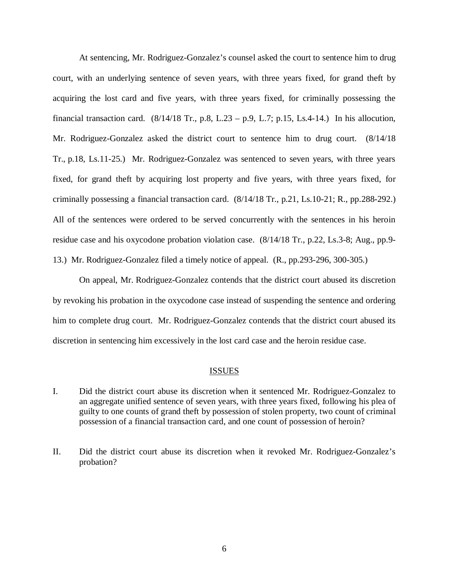At sentencing, Mr. Rodriguez-Gonzalez's counsel asked the court to sentence him to drug court, with an underlying sentence of seven years, with three years fixed, for grand theft by acquiring the lost card and five years, with three years fixed, for criminally possessing the financial transaction card.  $(8/14/18$  Tr., p.8, L.23 – p.9, L.7; p.15, Ls.4-14.) In his allocution, Mr. Rodriguez-Gonzalez asked the district court to sentence him to drug court. (8/14/18 Tr., p.18, Ls.11-25.) Mr. Rodriguez-Gonzalez was sentenced to seven years, with three years fixed, for grand theft by acquiring lost property and five years, with three years fixed, for criminally possessing a financial transaction card. (8/14/18 Tr., p.21, Ls.10-21; R., pp.288-292.) All of the sentences were ordered to be served concurrently with the sentences in his heroin residue case and his oxycodone probation violation case. (8/14/18 Tr., p.22, Ls.3-8; Aug., pp.9- 13.) Mr. Rodriguez-Gonzalez filed a timely notice of appeal. (R., pp.293-296, 300-305.)

On appeal, Mr. Rodriguez-Gonzalez contends that the district court abused its discretion by revoking his probation in the oxycodone case instead of suspending the sentence and ordering him to complete drug court. Mr. Rodriguez-Gonzalez contends that the district court abused its discretion in sentencing him excessively in the lost card case and the heroin residue case.

### ISSUES

- I. Did the district court abuse its discretion when it sentenced Mr. Rodriguez-Gonzalez to an aggregate unified sentence of seven years, with three years fixed, following his plea of guilty to one counts of grand theft by possession of stolen property, two count of criminal possession of a financial transaction card, and one count of possession of heroin?
- II. Did the district court abuse its discretion when it revoked Mr. Rodriguez-Gonzalez's probation?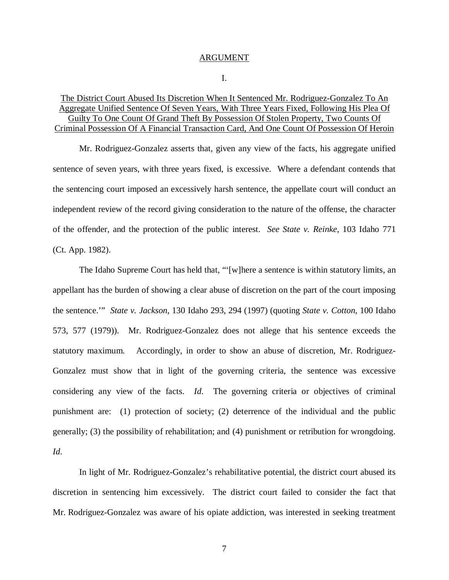#### ARGUMENT

### I.

# The District Court Abused Its Discretion When It Sentenced Mr. Rodriguez-Gonzalez To An Aggregate Unified Sentence Of Seven Years, With Three Years Fixed, Following His Plea Of Guilty To One Count Of Grand Theft By Possession Of Stolen Property, Two Counts Of Criminal Possession Of A Financial Transaction Card, And One Count Of Possession Of Heroin

Mr. Rodriguez-Gonzalez asserts that, given any view of the facts, his aggregate unified sentence of seven years, with three years fixed, is excessive. Where a defendant contends that the sentencing court imposed an excessively harsh sentence, the appellate court will conduct an independent review of the record giving consideration to the nature of the offense, the character of the offender, and the protection of the public interest. *See State v. Reinke*, 103 Idaho 771 (Ct. App. 1982).

The Idaho Supreme Court has held that, "'[w]here a sentence is within statutory limits, an appellant has the burden of showing a clear abuse of discretion on the part of the court imposing the sentence.'" *State v. Jackson*, 130 Idaho 293, 294 (1997) (quoting *State v. Cotton*, 100 Idaho 573, 577 (1979)). Mr. Rodriguez-Gonzalez does not allege that his sentence exceeds the statutory maximum. Accordingly, in order to show an abuse of discretion, Mr. Rodriguez-Gonzalez must show that in light of the governing criteria, the sentence was excessive considering any view of the facts. *Id*. The governing criteria or objectives of criminal punishment are: (1) protection of society; (2) deterrence of the individual and the public generally; (3) the possibility of rehabilitation; and (4) punishment or retribution for wrongdoing. *Id*.

In light of Mr. Rodriguez-Gonzalez's rehabilitative potential, the district court abused its discretion in sentencing him excessively. The district court failed to consider the fact that Mr. Rodriguez-Gonzalez was aware of his opiate addiction, was interested in seeking treatment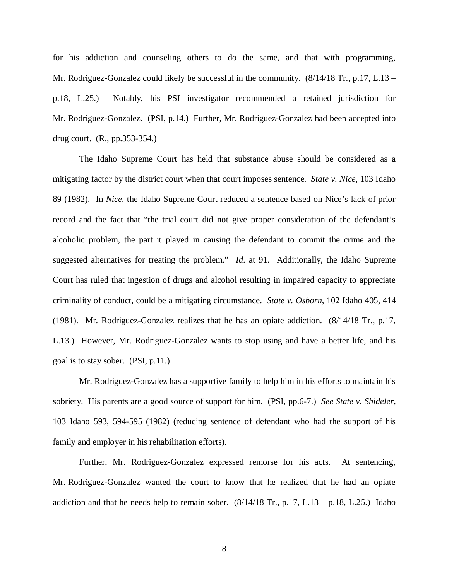for his addiction and counseling others to do the same, and that with programming, Mr. Rodriguez-Gonzalez could likely be successful in the community.  $(8/14/18 \text{ Tr}$ , p.17, L.13 – p.18, L.25.) Notably, his PSI investigator recommended a retained jurisdiction for Mr. Rodriguez-Gonzalez. (PSI, p.14.) Further, Mr. Rodriguez-Gonzalez had been accepted into drug court. (R., pp.353-354.)

The Idaho Supreme Court has held that substance abuse should be considered as a mitigating factor by the district court when that court imposes sentence. *State v. Nice*, 103 Idaho 89 (1982). In *Nice*, the Idaho Supreme Court reduced a sentence based on Nice's lack of prior record and the fact that "the trial court did not give proper consideration of the defendant's alcoholic problem, the part it played in causing the defendant to commit the crime and the suggested alternatives for treating the problem." *Id*. at 91. Additionally, the Idaho Supreme Court has ruled that ingestion of drugs and alcohol resulting in impaired capacity to appreciate criminality of conduct, could be a mitigating circumstance. *State v. Osborn*, 102 Idaho 405, 414 (1981). Mr. Rodriguez-Gonzalez realizes that he has an opiate addiction. (8/14/18 Tr., p.17, L.13.) However, Mr. Rodriguez-Gonzalez wants to stop using and have a better life, and his goal is to stay sober. (PSI, p.11.)

Mr. Rodriguez-Gonzalez has a supportive family to help him in his efforts to maintain his sobriety. His parents are a good source of support for him. (PSI, pp.6-7.) *See State v. Shideler*, 103 Idaho 593, 594-595 (1982) (reducing sentence of defendant who had the support of his family and employer in his rehabilitation efforts).

Further, Mr. Rodriguez-Gonzalez expressed remorse for his acts. At sentencing, Mr. Rodriguez-Gonzalez wanted the court to know that he realized that he had an opiate addiction and that he needs help to remain sober.  $(8/14/18 \text{ Tr.}, p.17, L.13 - p.18, L.25.)$  Idaho

8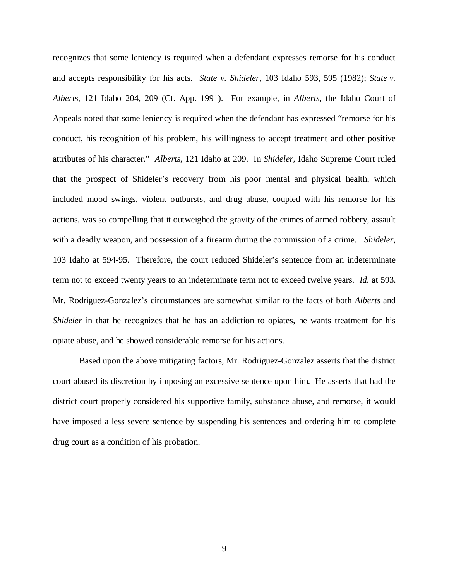recognizes that some leniency is required when a defendant expresses remorse for his conduct and accepts responsibility for his acts. *State v. Shideler*, 103 Idaho 593, 595 (1982); *State v. Alberts*, 121 Idaho 204, 209 (Ct. App. 1991). For example, in *Alberts*, the Idaho Court of Appeals noted that some leniency is required when the defendant has expressed "remorse for his conduct, his recognition of his problem, his willingness to accept treatment and other positive attributes of his character." *Alberts*, 121 Idaho at 209. In *Shideler,* Idaho Supreme Court ruled that the prospect of Shideler's recovery from his poor mental and physical health, which included mood swings, violent outbursts, and drug abuse, coupled with his remorse for his actions, was so compelling that it outweighed the gravity of the crimes of armed robbery, assault with a deadly weapon, and possession of a firearm during the commission of a crime. *Shideler,* 103 Idaho at 594-95. Therefore, the court reduced Shideler's sentence from an indeterminate term not to exceed twenty years to an indeterminate term not to exceed twelve years. *Id.* at 593. Mr. Rodriguez-Gonzalez's circumstances are somewhat similar to the facts of both *Alberts* and *Shideler* in that he recognizes that he has an addiction to opiates, he wants treatment for his opiate abuse, and he showed considerable remorse for his actions.

Based upon the above mitigating factors, Mr. Rodriguez-Gonzalez asserts that the district court abused its discretion by imposing an excessive sentence upon him. He asserts that had the district court properly considered his supportive family, substance abuse, and remorse, it would have imposed a less severe sentence by suspending his sentences and ordering him to complete drug court as a condition of his probation.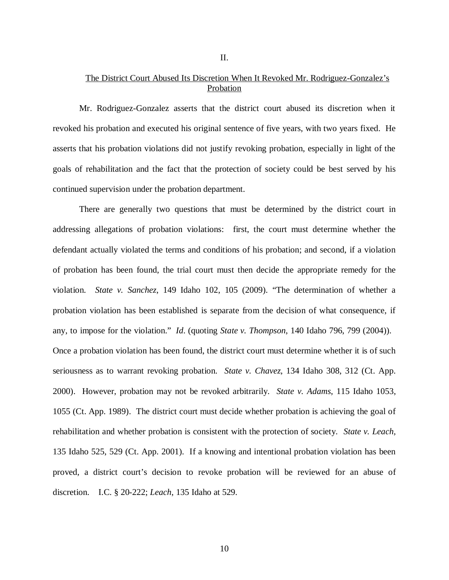# The District Court Abused Its Discretion When It Revoked Mr. Rodriguez-Gonzalez's Probation

Mr. Rodriguez-Gonzalez asserts that the district court abused its discretion when it revoked his probation and executed his original sentence of five years, with two years fixed. He asserts that his probation violations did not justify revoking probation, especially in light of the goals of rehabilitation and the fact that the protection of society could be best served by his continued supervision under the probation department.

There are generally two questions that must be determined by the district court in addressing allegations of probation violations: first, the court must determine whether the defendant actually violated the terms and conditions of his probation; and second, if a violation of probation has been found, the trial court must then decide the appropriate remedy for the violation. *State v. Sanchez*, 149 Idaho 102, 105 (2009). "The determination of whether a probation violation has been established is separate from the decision of what consequence, if any, to impose for the violation." *Id*. (quoting *State v. Thompson*, 140 Idaho 796, 799 (2004)). Once a probation violation has been found, the district court must determine whether it is of such seriousness as to warrant revoking probation. *State v. Chavez*, 134 Idaho 308, 312 (Ct. App. 2000). However, probation may not be revoked arbitrarily. *State v. Adams*, 115 Idaho 1053, 1055 (Ct. App. 1989). The district court must decide whether probation is achieving the goal of rehabilitation and whether probation is consistent with the protection of society. *State v. Leach,* 135 Idaho 525, 529 (Ct. App. 2001). If a knowing and intentional probation violation has been proved, a district court's decision to revoke probation will be reviewed for an abuse of discretion. I.C. § 20-222; *Leach*, 135 Idaho at 529.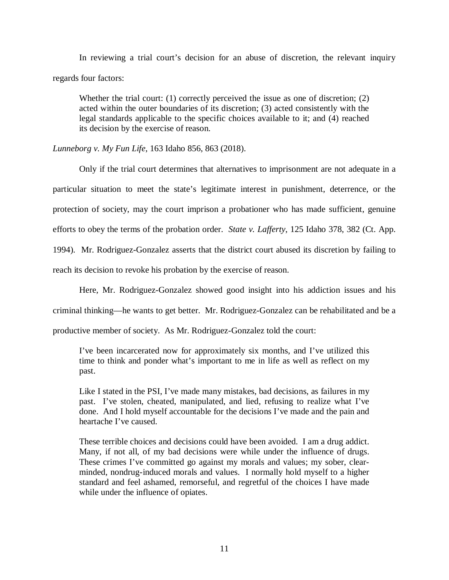In reviewing a trial court's decision for an abuse of discretion, the relevant inquiry regards four factors:

Whether the trial court: (1) correctly perceived the issue as one of discretion; (2) acted within the outer boundaries of its discretion; (3) acted consistently with the legal standards applicable to the specific choices available to it; and (4) reached its decision by the exercise of reason.

*Lunneborg v. My Fun Life*, 163 Idaho 856, 863 (2018).

Only if the trial court determines that alternatives to imprisonment are not adequate in a particular situation to meet the state's legitimate interest in punishment, deterrence, or the protection of society, may the court imprison a probationer who has made sufficient, genuine efforts to obey the terms of the probation order. *State v. Lafferty*, 125 Idaho 378, 382 (Ct. App. 1994)*.* Mr. Rodriguez-Gonzalez asserts that the district court abused its discretion by failing to

reach its decision to revoke his probation by the exercise of reason.

Here, Mr. Rodriguez-Gonzalez showed good insight into his addiction issues and his

criminal thinking—he wants to get better. Mr. Rodriguez-Gonzalez can be rehabilitated and be a

productive member of society. As Mr. Rodriguez-Gonzalez told the court:

I've been incarcerated now for approximately six months, and I've utilized this time to think and ponder what's important to me in life as well as reflect on my past.

Like I stated in the PSI, I've made many mistakes, bad decisions, as failures in my past. I've stolen, cheated, manipulated, and lied, refusing to realize what I've done. And I hold myself accountable for the decisions I've made and the pain and heartache I've caused.

These terrible choices and decisions could have been avoided. I am a drug addict. Many, if not all, of my bad decisions were while under the influence of drugs. These crimes I've committed go against my morals and values; my sober, clearminded, nondrug-induced morals and values. I normally hold myself to a higher standard and feel ashamed, remorseful, and regretful of the choices I have made while under the influence of opiates.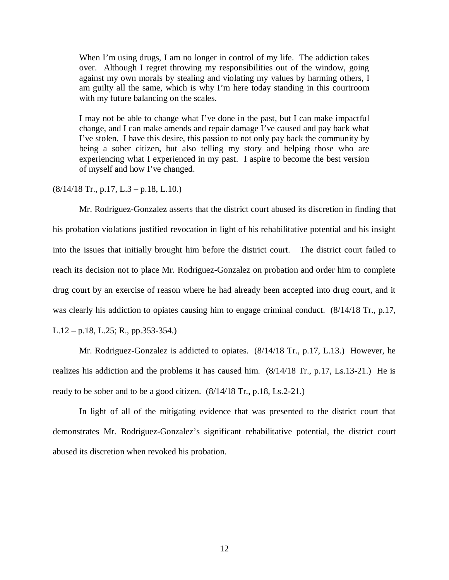When I'm using drugs, I am no longer in control of my life. The addiction takes over. Although I regret throwing my responsibilities out of the window, going against my own morals by stealing and violating my values by harming others, I am guilty all the same, which is why I'm here today standing in this courtroom with my future balancing on the scales.

I may not be able to change what I've done in the past, but I can make impactful change, and I can make amends and repair damage I've caused and pay back what I've stolen. I have this desire, this passion to not only pay back the community by being a sober citizen, but also telling my story and helping those who are experiencing what I experienced in my past. I aspire to become the best version of myself and how I've changed.

 $(8/14/18$  Tr., p.17, L.3 – p.18, L.10.)

Mr. Rodriguez-Gonzalez asserts that the district court abused its discretion in finding that his probation violations justified revocation in light of his rehabilitative potential and his insight into the issues that initially brought him before the district court. The district court failed to reach its decision not to place Mr. Rodriguez-Gonzalez on probation and order him to complete drug court by an exercise of reason where he had already been accepted into drug court, and it was clearly his addiction to opiates causing him to engage criminal conduct. (8/14/18 Tr., p.17, L.12 – p.18, L.25; R., pp.353-354.)

Mr. Rodriguez-Gonzalez is addicted to opiates. (8/14/18 Tr., p.17, L.13.) However, he realizes his addiction and the problems it has caused him. (8/14/18 Tr., p.17, Ls.13-21.) He is ready to be sober and to be a good citizen. (8/14/18 Tr., p.18, Ls.2-21.)

In light of all of the mitigating evidence that was presented to the district court that demonstrates Mr. Rodriguez-Gonzalez's significant rehabilitative potential, the district court abused its discretion when revoked his probation.